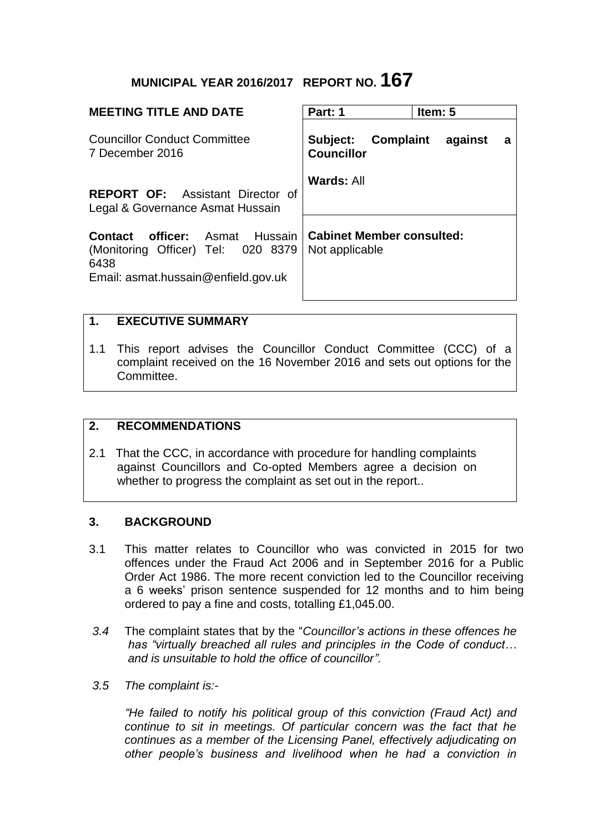# **MUNICIPAL YEAR 2016/2017 REPORT NO. 167**

| <b>MEETING TITLE AND DATE</b>                                                                                                 | Part: 1<br>Item: $5$                                       |
|-------------------------------------------------------------------------------------------------------------------------------|------------------------------------------------------------|
| <b>Councillor Conduct Committee</b><br>7 December 2016                                                                        | Complaint<br>Subject:<br>against<br>a<br><b>Councillor</b> |
| <b>REPORT OF:</b> Assistant Director of<br>Legal & Governance Asmat Hussain                                                   | Wards: All                                                 |
| <b>officer:</b> Asmat Hussain<br>Contact<br>(Monitoring Officer) Tel: 020 8379<br>6438<br>Email: asmat.hussain@enfield.gov.uk | <b>Cabinet Member consulted:</b><br>Not applicable         |
| $\mathbf 1$<br><b>FXFCUTIVE SUMMARY</b>                                                                                       |                                                            |

1.1 This report advises the Councillor Conduct Committee (CCC) of a complaint received on the 16 November 2016 and sets out options for the Committee.

#### **2. RECOMMENDATIONS**

2.1 That the CCC, in accordance with procedure for handling complaints against Councillors and Co-opted Members agree a decision on whether to progress the complaint as set out in the report..

## **3. BACKGROUND**

- 3.1 This matter relates to Councillor who was convicted in 2015 for two offences under the Fraud Act 2006 and in September 2016 for a Public Order Act 1986. The more recent conviction led to the Councillor receiving a 6 weeks' prison sentence suspended for 12 months and to him being ordered to pay a fine and costs, totalling £1,045.00.
- *3.4* The complaint states that by the "*Councillor's actions in these offences he has "virtually breached all rules and principles in the Code of conduct… and is unsuitable to hold the office of councillor".*
- *3.5 The complaint is:-*

*"He failed to notify his political group of this conviction (Fraud Act) and*  continue to sit in meetings. Of particular concern was the fact that he *continues as a member of the Licensing Panel, effectively adjudicating on other people's business and livelihood when he had a conviction in*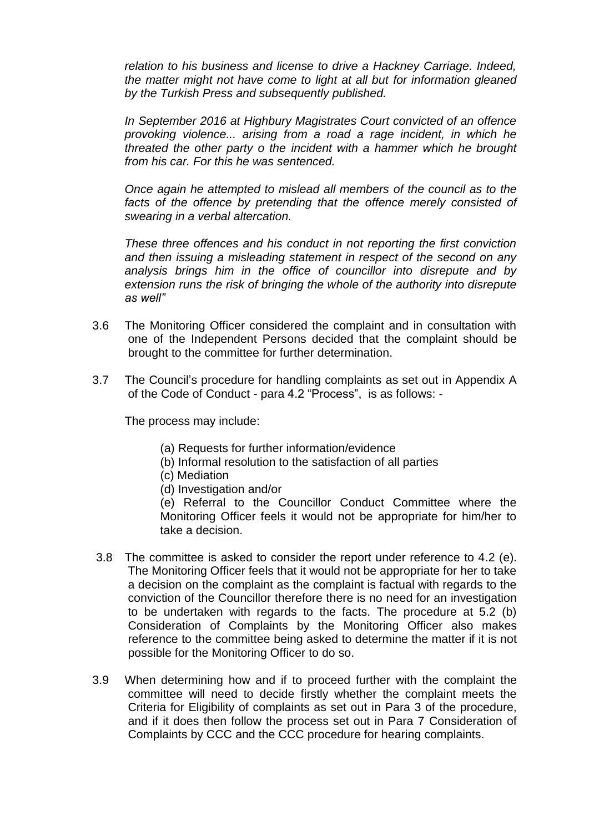*relation to his business and license to drive a Hackney Carriage. Indeed, the matter might not have come to light at all but for information gleaned by the Turkish Press and subsequently published.*

*In September 2016 at Highbury Magistrates Court convicted of an offence provoking violence... arising from a road a rage incident, in which he threated the other party o the incident with a hammer which he brought from his car. For this he was sentenced.*

*Once again he attempted to mislead all members of the council as to the facts of the offence by pretending that the offence merely consisted of swearing in a verbal altercation.*

*These three offences and his conduct in not reporting the first conviction and then issuing a misleading statement in respect of the second on any analysis brings him in the office of councillor into disrepute and by extension runs the risk of bringing the whole of the authority into disrepute as well"*

- 3.6 The Monitoring Officer considered the complaint and in consultation with one of the Independent Persons decided that the complaint should be brought to the committee for further determination.
- 3.7 The Council's procedure for handling complaints as set out in Appendix A of the Code of Conduct - para 4.2 "Process", is as follows: -

The process may include:

- (a) Requests for further information/evidence
- (b) Informal resolution to the satisfaction of all parties
- (c) Mediation
- (d) Investigation and/or

(e) Referral to the Councillor Conduct Committee where the Monitoring Officer feels it would not be appropriate for him/her to take a decision.

- 3.8 The committee is asked to consider the report under reference to 4.2 (e). The Monitoring Officer feels that it would not be appropriate for her to take a decision on the complaint as the complaint is factual with regards to the conviction of the Councillor therefore there is no need for an investigation to be undertaken with regards to the facts. The procedure at 5.2 (b) Consideration of Complaints by the Monitoring Officer also makes reference to the committee being asked to determine the matter if it is not possible for the Monitoring Officer to do so.
- 3.9 When determining how and if to proceed further with the complaint the committee will need to decide firstly whether the complaint meets the Criteria for Eligibility of complaints as set out in Para 3 of the procedure, and if it does then follow the process set out in Para 7 Consideration of Complaints by CCC and the CCC procedure for hearing complaints.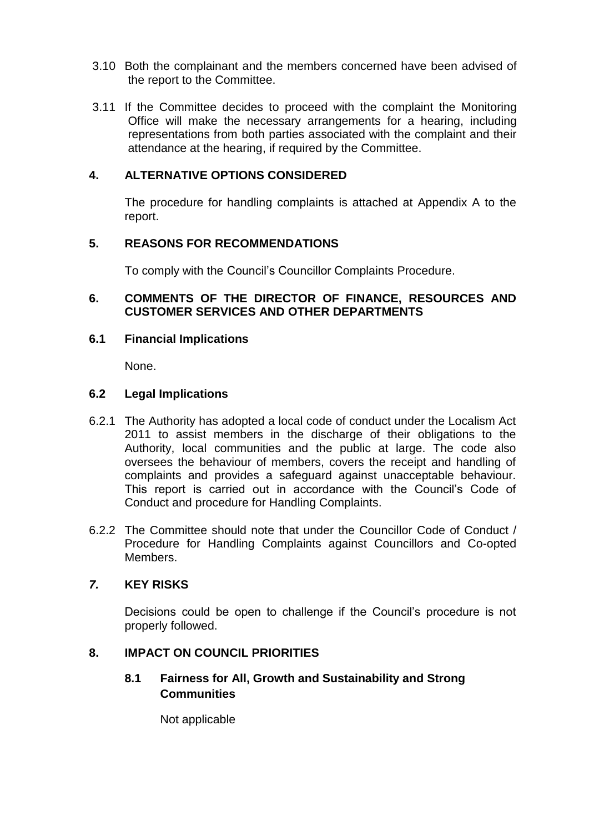- 3.10 Both the complainant and the members concerned have been advised of the report to the Committee.
- 3.11 If the Committee decides to proceed with the complaint the Monitoring Office will make the necessary arrangements for a hearing, including representations from both parties associated with the complaint and their attendance at the hearing, if required by the Committee.

#### **4. ALTERNATIVE OPTIONS CONSIDERED**

The procedure for handling complaints is attached at Appendix A to the report.

#### **5. REASONS FOR RECOMMENDATIONS**

To comply with the Council's Councillor Complaints Procedure.

#### **6. COMMENTS OF THE DIRECTOR OF FINANCE, RESOURCES AND CUSTOMER SERVICES AND OTHER DEPARTMENTS**

#### **6.1 Financial Implications**

None.

#### **6.2 Legal Implications**

- 6.2.1 The Authority has adopted a local code of conduct under the Localism Act 2011 to assist members in the discharge of their obligations to the Authority, local communities and the public at large. The code also oversees the behaviour of members, covers the receipt and handling of complaints and provides a safeguard against unacceptable behaviour. This report is carried out in accordance with the Council's Code of Conduct and procedure for Handling Complaints.
- 6.2.2 The Committee should note that under the Councillor Code of Conduct / Procedure for Handling Complaints against Councillors and Co-opted Members.

#### *7.* **KEY RISKS**

Decisions could be open to challenge if the Council's procedure is not properly followed.

#### **8. IMPACT ON COUNCIL PRIORITIES**

#### **8.1 Fairness for All, Growth and Sustainability and Strong Communities**

Not applicable